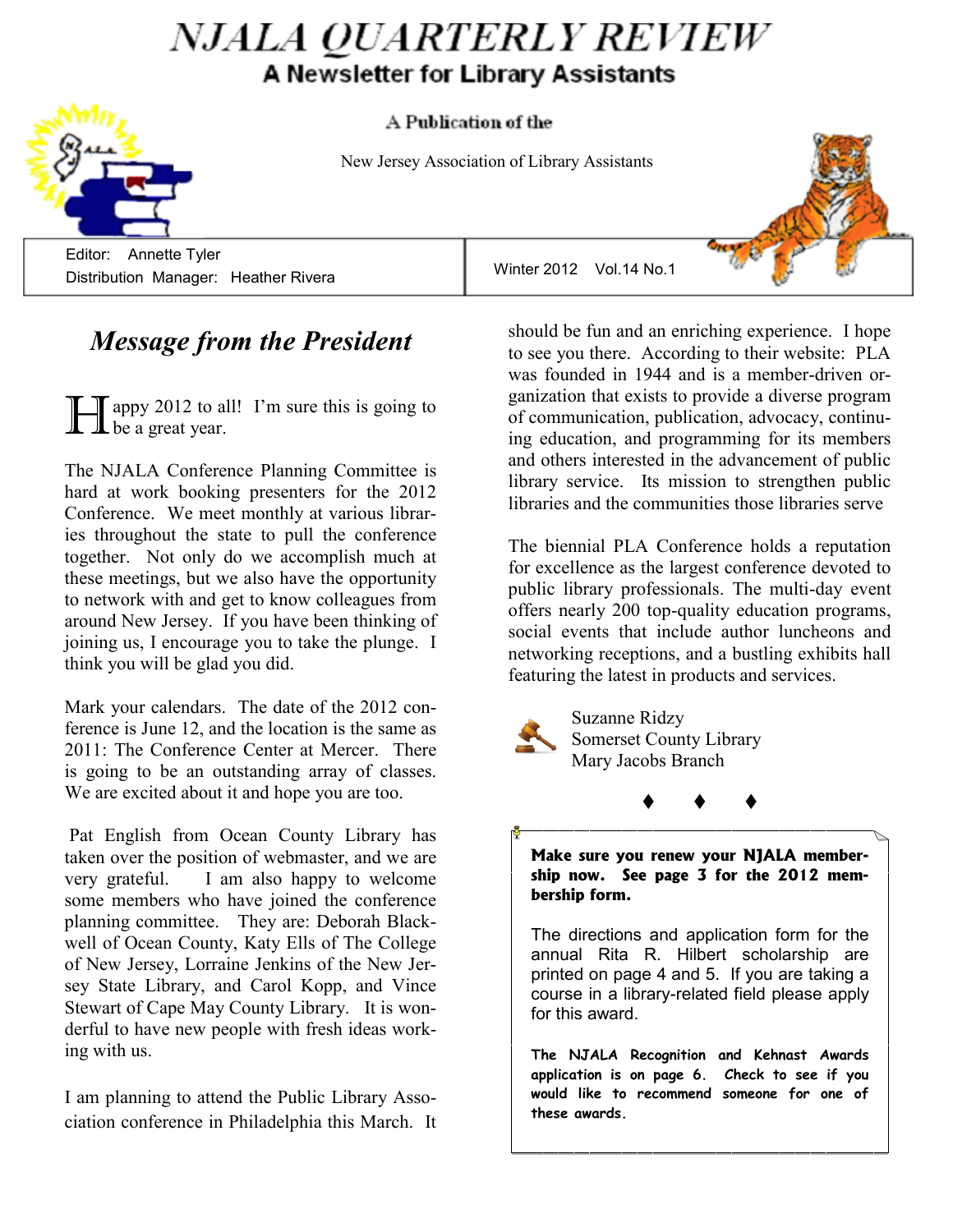# *NJALA QUARTERLY REVIEW* A Newsletter for Library Assistants



New Jersey Association of Library Assistants

 Editor: Annette Tyler Distribution Manager: Heather Rivera

## *Message from the President*

 $\int$  appy 2012 to all! I'm sure this is going to  $\mathbf{\mathbf{\perp}}$  be a great year.

The NJALA Conference Planning Committee is hard at work booking presenters for the 2012 Conference. We meet monthly at various libraries throughout the state to pull the conference together. Not only do we accomplish much at these meetings, but we also have the opportunity to network with and get to know colleagues from around New Jersey. If you have been thinking of joining us, I encourage you to take the plunge. I think you will be glad you did.

Mark your calendars. The date of the 2012 conference is June 12, and the location is the same as 2011: The Conference Center at Mercer. There is going to be an outstanding array of classes. We are excited about it and hope you are too.

Pat English from Ocean County Library has taken over the position of webmaster, and we are very grateful. I am also happy to welcome some members who have joined the conference planning committee. They are: Deborah Blackwell of Ocean County, Katy Ells of The College of New Jersey, Lorraine Jenkins of the New Jersey State Library, and Carol Kopp, and Vince Stewart of Cape May County Library. It is wonderful to have new people with fresh ideas working with us.

I am planning to attend the Public Library Association conference in Philadelphia this March. It should be fun and an enriching experience. I hope to see you there. According to their website: PLA was founded in 1944 and is a member-driven organization that exists to provide a diverse program of communication, publication, advocacy, continuing education, and programming for its members and others interested in the advancement of public library service. Its mission to strengthen public libraries and the communities those libraries serve

The biennial PLA Conference holds a reputation for excellence as the largest conference devoted to public library professionals. The multi-day event offers nearly 200 top-quality education programs, social events that include author luncheons and networking receptions, and a bustling exhibits hall featuring the latest in products and services.



Suzanne Ridzy Somerset County Library Mary Jacobs Branch

**Make sure you renew your NJALA membership now. See page 3 for the 2012 membership form.**

 $\begin{array}{ccc} \bullet & \bullet & \bullet \end{array}$ 

The directions and application form for the annual Rita R. Hilbert scholarship are printed on page 4 and 5. If you are taking a course in a library-related field please apply for this award.

**The NJALA Recognition and Kehnast Awards application is on page 6. Check to see if you would like to recommend someone for one of these awards.**



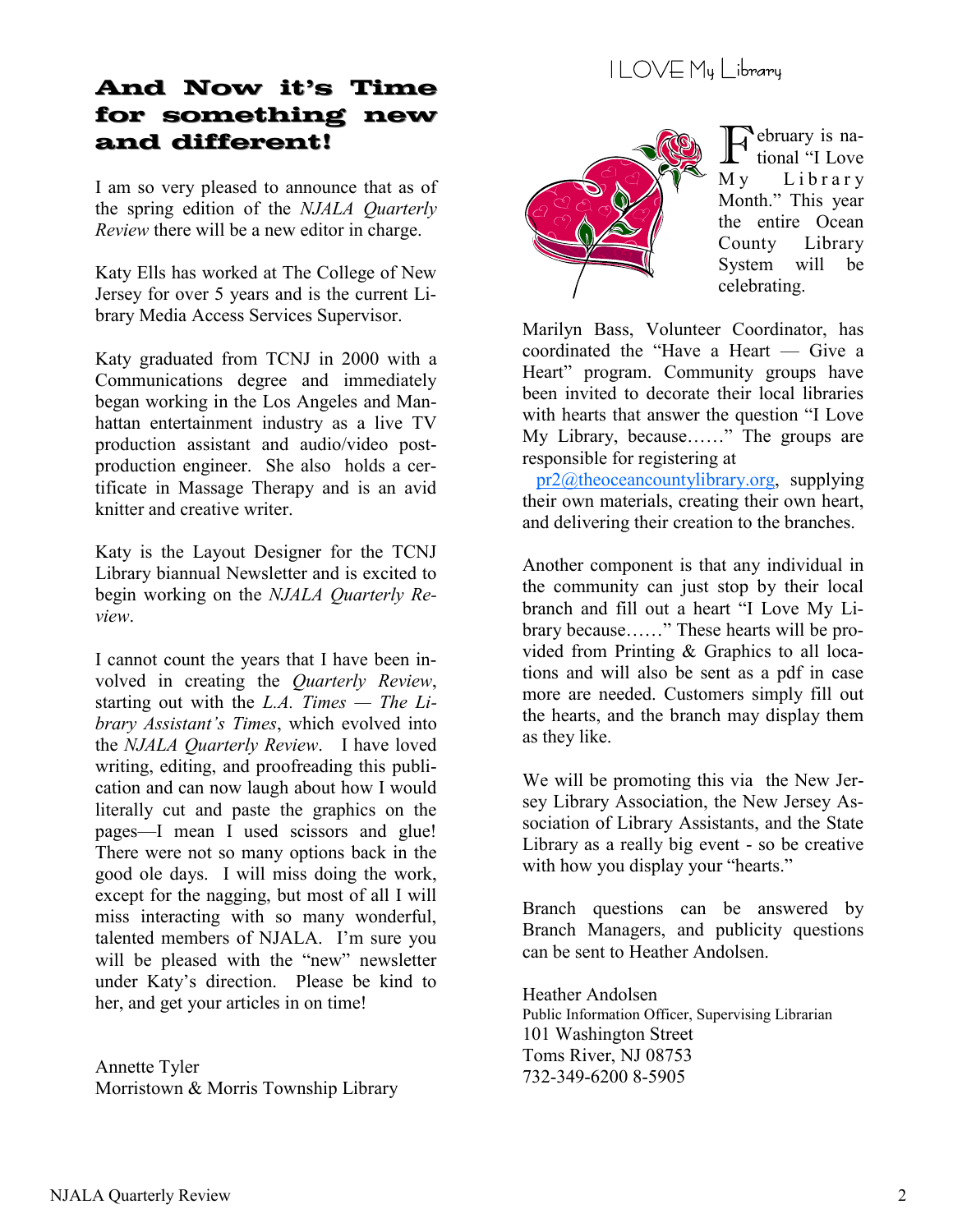## I LOVE My Library

### **And Now it's Time for something new and different!**

I am so very pleased to announce that as of the spring edition of the *NJALA Quarterly Review* there will be a new editor in charge.

Katy Ells has worked at The College of New Jersey for over 5 years and is the current Library Media Access Services Supervisor.

Katy graduated from TCNJ in 2000 with a Communications degree and immediately began working in the Los Angeles and Manhattan entertainment industry as a live TV production assistant and audio/video postproduction engineer. She also holds a certificate in Massage Therapy and is an avid knitter and creative writer.

Katy is the Layout Designer for the TCNJ Library biannual Newsletter and is excited to begin working on the *NJALA Quarterly Review*.

I cannot count the years that I have been involved in creating the *Quarterly Review*, starting out with the *L.A.* Times — The Li*brary Assistant's Times*, which evolved into the *NJALA Quarterly Review*. I have loved writing, editing, and proofreading this publication and can now laugh about how I would literally cut and paste the graphics on the pages—I mean I used scissors and glue! There were not so many options back in the good ole days. I will miss doing the work, except for the nagging, but most of all I will miss interacting with so many wonderful, talented members of NJALA. I'm sure you will be pleased with the "new" newsletter under Katy's direction. Please be kind to her, and get your articles in on time!

Annette Tyler Morristown & Morris Township Library



February is na-<br>tional "I Love tional "I Love My Library Month." This year the entire Ocean County Library System will be celebrating.

Marilyn Bass, Volunteer Coordinator, has coordinated the "Have a Heart — Give a Heart" program. Community groups have been invited to decorate their local libraries with hearts that answer the question "I Love" My Library, because……" The groups are responsible for registering at

 [pr2@theoceancountylibrary.org,](I%20love%20my%20OC%20library) supplying their own materials, creating their own heart, and delivering their creation to the branches.

Another component is that any individual in the community can just stop by their local branch and fill out a heart "I Love My Library because……" These hearts will be provided from Printing & Graphics to all locations and will also be sent as a pdf in case more are needed. Customers simply fill out the hearts, and the branch may display them as they like.

We will be promoting this via the New Jersey Library Association, the New Jersey Association of Library Assistants, and the State Library as a really big event - so be creative with how you display your "hearts."

Branch questions can be answered by Branch Managers, and publicity questions can be sent to Heather Andolsen.

Heather Andolsen Public Information Officer, Supervising Librarian 101 Washington Street Toms River, NJ 08753 732-349-6200 8-5905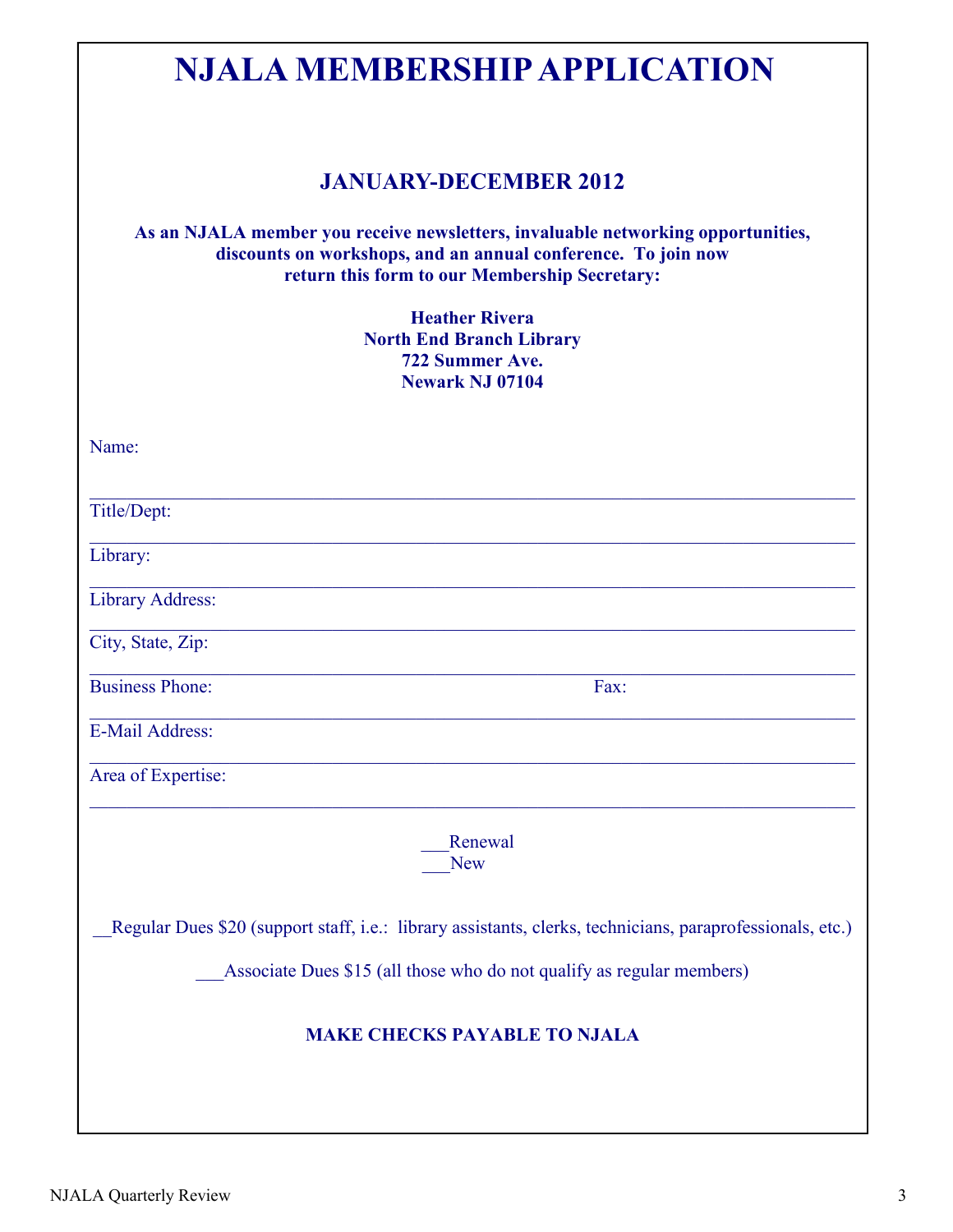| <b>NJALA MEMBERSHIP APPLICATION</b>                                                                                                                                                                |
|----------------------------------------------------------------------------------------------------------------------------------------------------------------------------------------------------|
| <b>JANUARY-DECEMBER 2012</b>                                                                                                                                                                       |
| As an NJALA member you receive newsletters, invaluable networking opportunities,<br>discounts on workshops, and an annual conference. To join now<br>return this form to our Membership Secretary: |
| <b>Heather Rivera</b><br><b>North End Branch Library</b><br>722 Summer Ave.<br><b>Newark NJ 07104</b>                                                                                              |
| Name:                                                                                                                                                                                              |
| Title/Dept:                                                                                                                                                                                        |
| Library:                                                                                                                                                                                           |
| Library Address:                                                                                                                                                                                   |
| City, State, Zip:                                                                                                                                                                                  |
| <b>Business Phone:</b><br>Fax:                                                                                                                                                                     |
| E-Mail Address:                                                                                                                                                                                    |
| Area of Expertise:                                                                                                                                                                                 |
| Renewal<br><b>New</b>                                                                                                                                                                              |
| Regular Dues \$20 (support staff, i.e.: library assistants, clerks, technicians, paraprofessionals, etc.)                                                                                          |
| Associate Dues \$15 (all those who do not qualify as regular members)                                                                                                                              |
| <b>MAKE CHECKS PAYABLE TO NJALA</b>                                                                                                                                                                |
|                                                                                                                                                                                                    |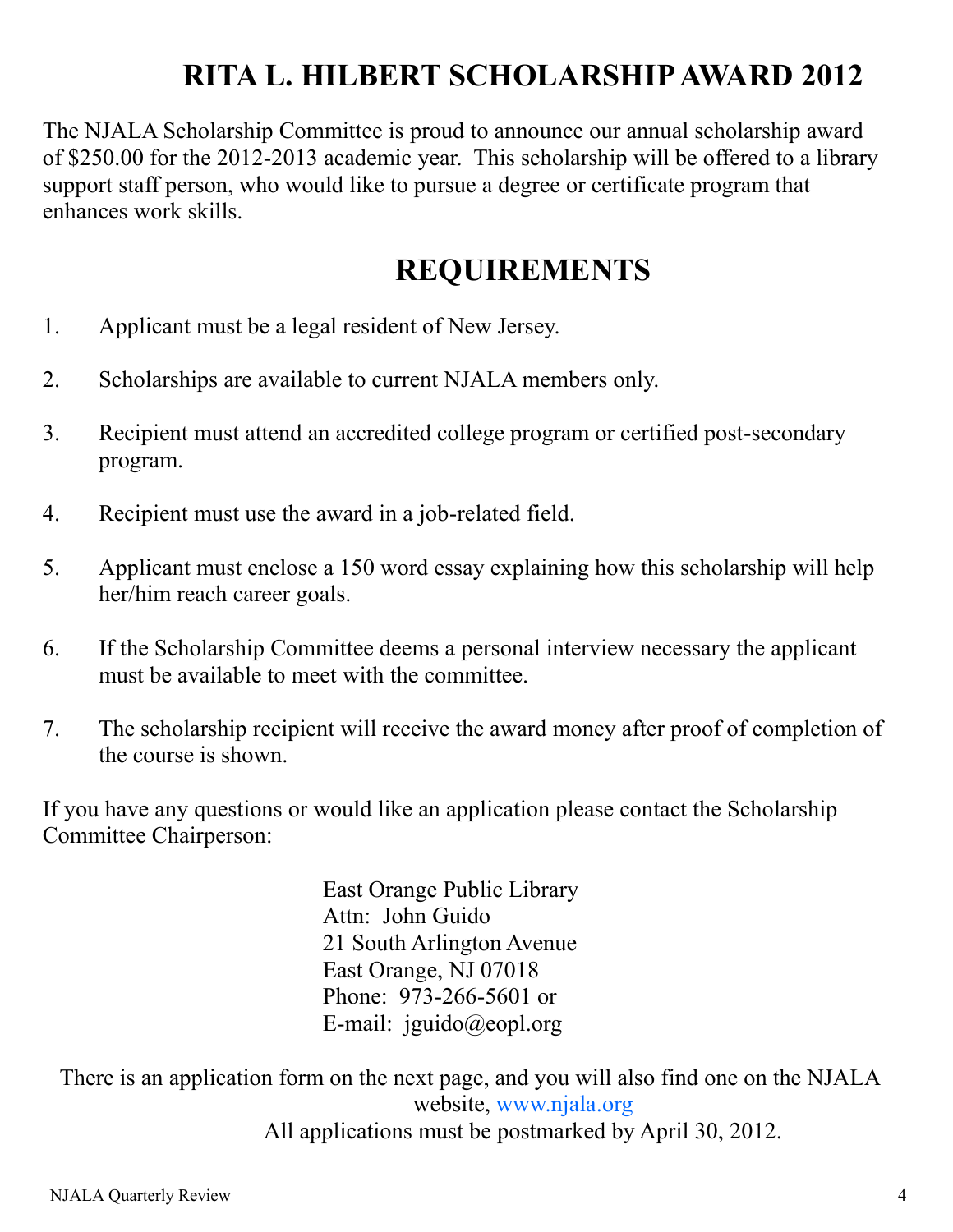# **RITA L. HILBERT SCHOLARSHIP AWARD 2012**

The NJALA Scholarship Committee is proud to announce our annual scholarship award of \$250.00 for the 2012-2013 academic year. This scholarship will be offered to a library support staff person, who would like to pursue a degree or certificate program that enhances work skills.

## **REQUIREMENTS**

- 1. Applicant must be a legal resident of New Jersey.
- 2. Scholarships are available to current NJALA members only.
- 3. Recipient must attend an accredited college program or certified post-secondary program.
- 4. Recipient must use the award in a job-related field.
- 5. Applicant must enclose a 150 word essay explaining how this scholarship will help her/him reach career goals.
- 6. If the Scholarship Committee deems a personal interview necessary the applicant must be available to meet with the committee.
- 7. The scholarship recipient will receive the award money after proof of completion of the course is shown.

If you have any questions or would like an application please contact the Scholarship Committee Chairperson:

> East Orange Public Library Attn: John Guido 21 South Arlington Avenue East Orange, NJ 07018 Phone: 973-266-5601 or E-mail: jguido@eopl.org

 There is an application form on the next page, and you will also find one on the NJALA website, [www.njala.org](http://www.njala.org) All applications must be postmarked by April 30, 2012.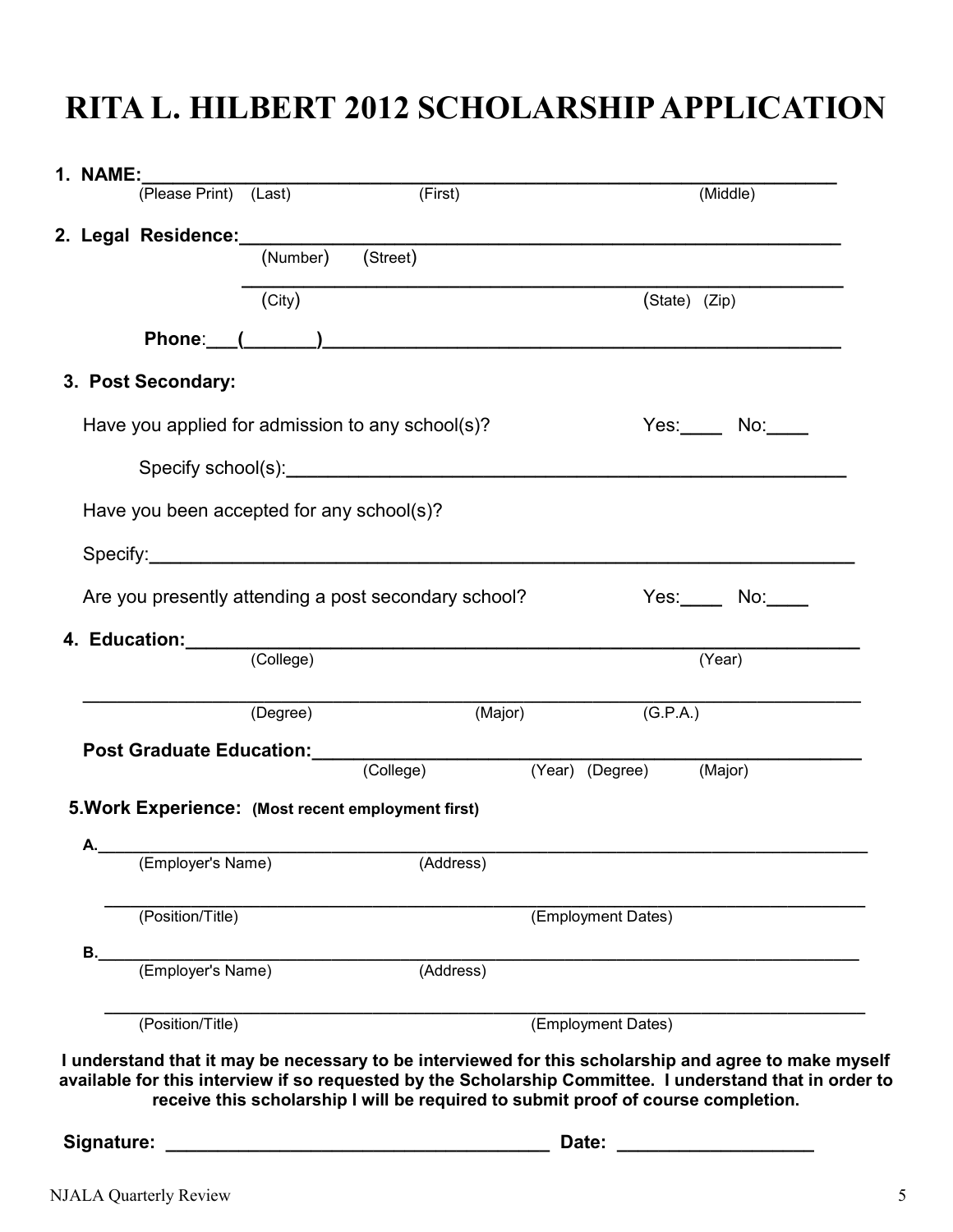# **RITA L. HILBERT 2012 SCHOLARSHIP APPLICATION**

| $\overline{(City)}$ | 2. Legal Residence: (Number) (Street)            |                                                                                                                                                        | (State) (Zip)                                                                                                                           |                                                                                                                                                                                                                                                                                                                                                                                            |
|---------------------|--------------------------------------------------|--------------------------------------------------------------------------------------------------------------------------------------------------------|-----------------------------------------------------------------------------------------------------------------------------------------|--------------------------------------------------------------------------------------------------------------------------------------------------------------------------------------------------------------------------------------------------------------------------------------------------------------------------------------------------------------------------------------------|
|                     |                                                  |                                                                                                                                                        |                                                                                                                                         |                                                                                                                                                                                                                                                                                                                                                                                            |
|                     |                                                  |                                                                                                                                                        |                                                                                                                                         |                                                                                                                                                                                                                                                                                                                                                                                            |
|                     |                                                  |                                                                                                                                                        |                                                                                                                                         |                                                                                                                                                                                                                                                                                                                                                                                            |
|                     |                                                  |                                                                                                                                                        |                                                                                                                                         |                                                                                                                                                                                                                                                                                                                                                                                            |
|                     |                                                  |                                                                                                                                                        |                                                                                                                                         |                                                                                                                                                                                                                                                                                                                                                                                            |
|                     | Have you applied for admission to any school(s)? |                                                                                                                                                        |                                                                                                                                         | $Yes:$ No: $\qquad$ No: $\qquad$                                                                                                                                                                                                                                                                                                                                                           |
|                     |                                                  |                                                                                                                                                        |                                                                                                                                         |                                                                                                                                                                                                                                                                                                                                                                                            |
|                     |                                                  |                                                                                                                                                        |                                                                                                                                         |                                                                                                                                                                                                                                                                                                                                                                                            |
|                     |                                                  |                                                                                                                                                        |                                                                                                                                         |                                                                                                                                                                                                                                                                                                                                                                                            |
|                     |                                                  |                                                                                                                                                        |                                                                                                                                         |                                                                                                                                                                                                                                                                                                                                                                                            |
|                     |                                                  |                                                                                                                                                        |                                                                                                                                         |                                                                                                                                                                                                                                                                                                                                                                                            |
|                     |                                                  |                                                                                                                                                        |                                                                                                                                         | $Yes:$ No:                                                                                                                                                                                                                                                                                                                                                                                 |
|                     |                                                  |                                                                                                                                                        |                                                                                                                                         |                                                                                                                                                                                                                                                                                                                                                                                            |
|                     |                                                  |                                                                                                                                                        |                                                                                                                                         | (Year)                                                                                                                                                                                                                                                                                                                                                                                     |
|                     |                                                  |                                                                                                                                                        |                                                                                                                                         |                                                                                                                                                                                                                                                                                                                                                                                            |
|                     |                                                  |                                                                                                                                                        |                                                                                                                                         |                                                                                                                                                                                                                                                                                                                                                                                            |
|                     |                                                  |                                                                                                                                                        |                                                                                                                                         | (Major)                                                                                                                                                                                                                                                                                                                                                                                    |
|                     |                                                  |                                                                                                                                                        |                                                                                                                                         |                                                                                                                                                                                                                                                                                                                                                                                            |
|                     |                                                  |                                                                                                                                                        |                                                                                                                                         |                                                                                                                                                                                                                                                                                                                                                                                            |
|                     | (Address)                                        |                                                                                                                                                        |                                                                                                                                         |                                                                                                                                                                                                                                                                                                                                                                                            |
|                     |                                                  |                                                                                                                                                        |                                                                                                                                         |                                                                                                                                                                                                                                                                                                                                                                                            |
|                     |                                                  |                                                                                                                                                        |                                                                                                                                         |                                                                                                                                                                                                                                                                                                                                                                                            |
|                     |                                                  |                                                                                                                                                        |                                                                                                                                         |                                                                                                                                                                                                                                                                                                                                                                                            |
|                     |                                                  |                                                                                                                                                        |                                                                                                                                         |                                                                                                                                                                                                                                                                                                                                                                                            |
|                     |                                                  |                                                                                                                                                        |                                                                                                                                         |                                                                                                                                                                                                                                                                                                                                                                                            |
|                     |                                                  |                                                                                                                                                        |                                                                                                                                         |                                                                                                                                                                                                                                                                                                                                                                                            |
|                     |                                                  |                                                                                                                                                        |                                                                                                                                         |                                                                                                                                                                                                                                                                                                                                                                                            |
|                     | (Degree)                                         | Have you been accepted for any school(s)?<br>5. Work Experience: (Most recent employment first)<br>(Employer's Name)<br>(Employer's Name)<br>(Address) | Are you presently attending a post secondary school?<br>4. Education: (College)<br>(Major)<br>Post Graduate Education: (College) (Year) | (G.P.A.)<br>(Year) (Degree)<br>(Employment Dates)<br>(Employment Dates)<br>I understand that it may be necessary to be interviewed for this scholarship and agree to make myself<br>available for this interview if so requested by the Scholarship Committee. I understand that in order to<br>receive this scholarship I will be required to submit proof of course completion.<br>Date: |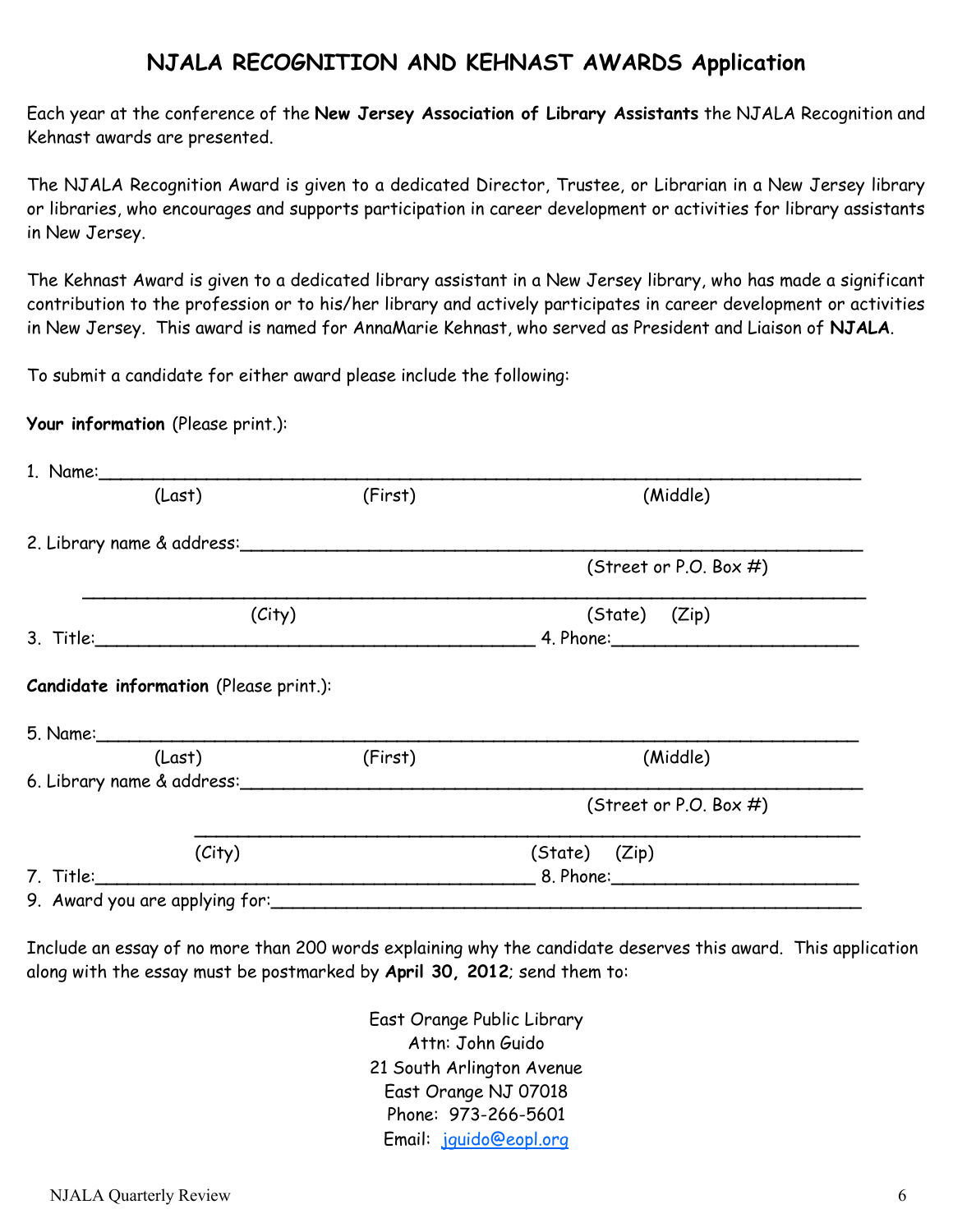### **NJALA RECOGNITION AND KEHNAST AWARDS Application**

Each year at the conference of the **New Jersey Association of Library Assistants** the NJALA Recognition and Kehnast awards are presented.

The NJALA Recognition Award is given to a dedicated Director, Trustee, or Librarian in a New Jersey library or libraries, who encourages and supports participation in career development or activities for library assistants in New Jersey.

The Kehnast Award is given to a dedicated library assistant in a New Jersey library, who has made a significant contribution to the profession or to his/her library and actively participates in career development or activities in New Jersey. This award is named for AnnaMarie Kehnast, who served as President and Liaison of **NJALA**.

To submit a candidate for either award please include the following:

**Your information** (Please print.):

| (Last)                                                                                                                | (First)       | (Middle)                  |
|-----------------------------------------------------------------------------------------------------------------------|---------------|---------------------------|
| 2. Library name & address:                                                                                            |               |                           |
|                                                                                                                       |               | (Street or P.O. Box $#$ ) |
| (City)                                                                                                                | (State) (Zip) |                           |
|                                                                                                                       |               |                           |
|                                                                                                                       |               |                           |
| (Last)                                                                                                                | (First)       | (Middle)                  |
| 6. Library name & address:                                                                                            |               |                           |
|                                                                                                                       |               | (Street or P.O. Box $#$ ) |
| (City)                                                                                                                |               | (State) (Zip)             |
| 7. Title: <u>2000 - 2000 - 2000 - 2000 - 2000 - 2000 - 2000 - 2000 - 2000 - 2000 - 2000 - 2000 - 2000 - 2000 - 20</u> |               |                           |
| 9. Award you are applying for:                                                                                        |               |                           |
|                                                                                                                       |               |                           |

Include an essay of no more than 200 words explaining why the candidate deserves this award. This application along with the essay must be postmarked by **April 30, 2012**; send them to:

> East Orange Public Library Attn: John Guido 21 South Arlington Avenue East Orange NJ 07018 Phone: 973-266-5601 Email: [jguido@eopl.org](mailto:jguido@eopl.org)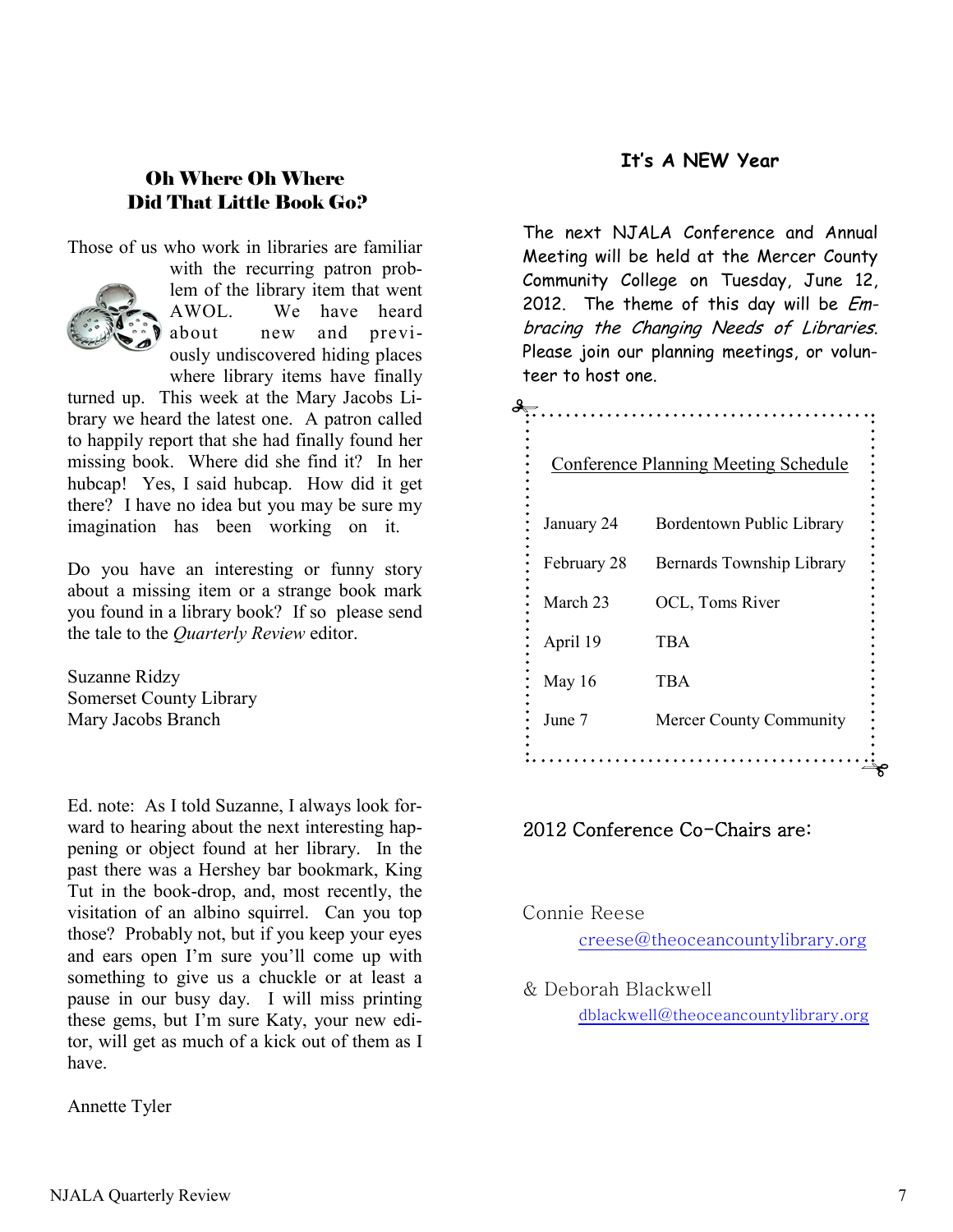### **It's A NEW Year**

### Oh Where Oh Where Did That Little Book Go?

Those of us who work in libraries are familiar



with the recurring patron problem of the library item that went AWOL. We have heard about new and previously undiscovered hiding places where library items have finally

turned up. This week at the Mary Jacobs Library we heard the latest one. A patron called to happily report that she had finally found her missing book. Where did she find it? In her hubcap! Yes, I said hubcap. How did it get there? I have no idea but you may be sure my imagination has been working on it.

Do you have an interesting or funny story about a missing item or a strange book mark you found in a library book? If so please send the tale to the *Quarterly Review* editor.

Suzanne Ridzy Somerset County Library Mary Jacobs Branch

Ed. note: As I told Suzanne, I always look forward to hearing about the next interesting happening or object found at her library. In the past there was a Hershey bar bookmark, King Tut in the book-drop, and, most recently, the visitation of an albino squirrel. Can you top those? Probably not, but if you keep your eyes and ears open I'm sure you'll come up with something to give us a chuckle or at least a pause in our busy day. I will miss printing these gems, but I'm sure Katy, your new editor, will get as much of a kick out of them as I have.

Annette Tyler

The next NJALA Conference and Annual Meeting will be held at the Mercer County Community College on Tuesday, June 12, 2012. The theme of this day will be *Em*bracing the Changing Needs of Libraries. Please join our planning meetings, or volunteer to host one.

|             | <b>Conference Planning Meeting Schedule</b> |
|-------------|---------------------------------------------|
|             |                                             |
| January 24  | Bordentown Public Library                   |
| February 28 | Bernards Township Library                   |
| March 23    | OCL, Toms River                             |
| April 19    | <b>TBA</b>                                  |
| May 16      | <b>TBA</b>                                  |
| June 7      | Mercer County Community                     |
|             |                                             |

#### 2012 Conference Co-Chairs are:

Connie Reese creese@theoceancountylibrary.org

& Deborah Blackwell dblackwell@theoceancountylibrary.org